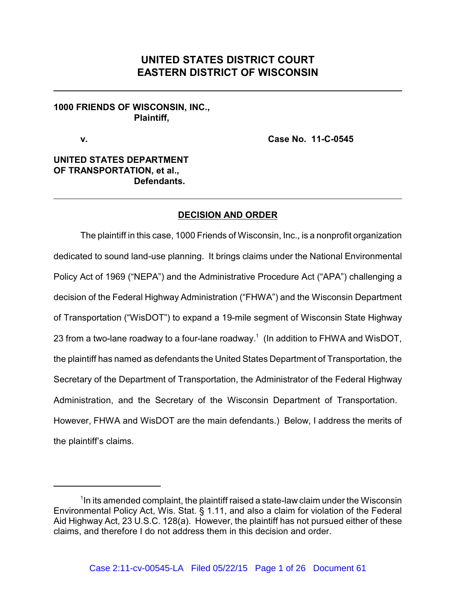# **UNITED STATES DISTRICT COURT EASTERN DISTRICT OF WISCONSIN**

## **1000 FRIENDS OF WISCONSIN, INC., Plaintiff,**

**v. Case No. 11-C-0545**

## **UNITED STATES DEPARTMENT OF TRANSPORTATION, et al., Defendants.**

## **DECISION AND ORDER**

The plaintiff in this case, 1000 Friends of Wisconsin, Inc., is a nonprofit organization dedicated to sound land-use planning. It brings claims under the National Environmental Policy Act of 1969 ("NEPA") and the Administrative Procedure Act ("APA") challenging a decision of the Federal Highway Administration ("FHWA") and the Wisconsin Department of Transportation ("WisDOT") to expand a 19-mile segment of Wisconsin State Highway 23 from a two-lane roadway to a four-lane roadway.<sup>1</sup> (In addition to FHWA and WisDOT, the plaintiff has named as defendants the United States Department of Transportation, the Secretary of the Department of Transportation, the Administrator of the Federal Highway Administration, and the Secretary of the Wisconsin Department of Transportation. However, FHWA and WisDOT are the main defendants.) Below, I address the merits of the plaintiff's claims.

 $1$ n its amended complaint, the plaintiff raised a state-law claim under the Wisconsin Environmental Policy Act, Wis. Stat. § 1.11, and also a claim for violation of the Federal Aid Highway Act, 23 U.S.C. 128(a). However, the plaintiff has not pursued either of these claims, and therefore I do not address them in this decision and order.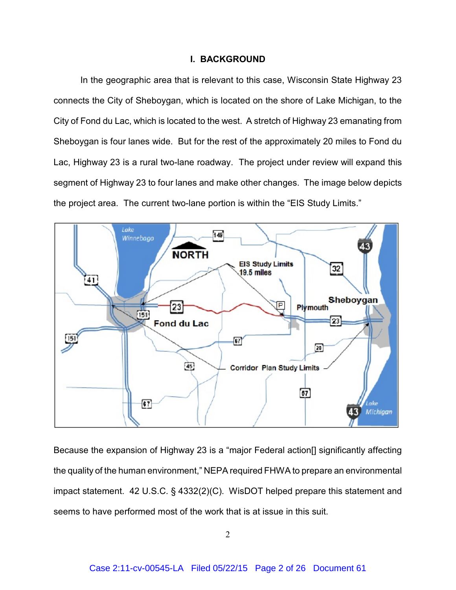#### **I. BACKGROUND**

In the geographic area that is relevant to this case, Wisconsin State Highway 23 connects the City of Sheboygan, which is located on the shore of Lake Michigan, to the City of Fond du Lac, which is located to the west. A stretch of Highway 23 emanating from Sheboygan is four lanes wide. But for the rest of the approximately 20 miles to Fond du Lac, Highway 23 is a rural two-lane roadway. The project under review will expand this segment of Highway 23 to four lanes and make other changes. The image below depicts the project area. The current two-lane portion is within the "EIS Study Limits."



Because the expansion of Highway 23 is a "major Federal action[] significantly affecting the quality of the human environment," NEPA required FHWA to prepare an environmental impact statement. 42 U.S.C. § 4332(2)(C). WisDOT helped prepare this statement and seems to have performed most of the work that is at issue in this suit.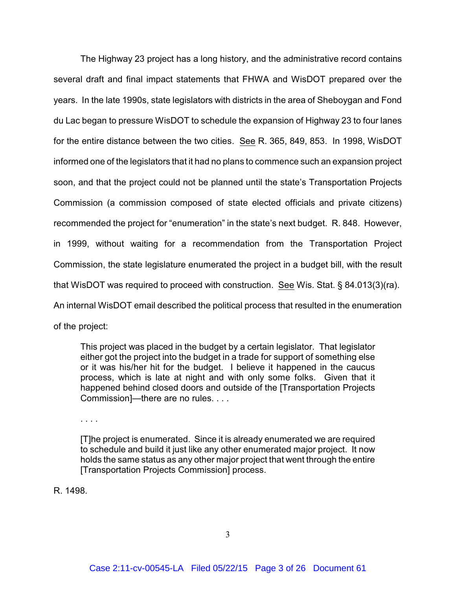The Highway 23 project has a long history, and the administrative record contains several draft and final impact statements that FHWA and WisDOT prepared over the years. In the late 1990s, state legislators with districts in the area of Sheboygan and Fond du Lac began to pressure WisDOT to schedule the expansion of Highway 23 to four lanes for the entire distance between the two cities. See R. 365, 849, 853. In 1998, WisDOT informed one of the legislators that it had no plans to commence such an expansion project soon, and that the project could not be planned until the state's Transportation Projects Commission (a commission composed of state elected officials and private citizens) recommended the project for "enumeration" in the state's next budget. R. 848. However, in 1999, without waiting for a recommendation from the Transportation Project Commission, the state legislature enumerated the project in a budget bill, with the result that WisDOT was required to proceed with construction. See Wis. Stat. § 84.013(3)(ra). An internal WisDOT email described the political process that resulted in the enumeration of the project:

This project was placed in the budget by a certain legislator. That legislator either got the project into the budget in a trade for support of something else or it was his/her hit for the budget. I believe it happened in the caucus process, which is late at night and with only some folks. Given that it happened behind closed doors and outside of the [Transportation Projects Commission]—there are no rules. . . .

. . . .

[T]he project is enumerated. Since it is already enumerated we are required to schedule and build it just like any other enumerated major project. It now holds the same status as any other major project that went through the entire [Transportation Projects Commission] process.

R. 1498.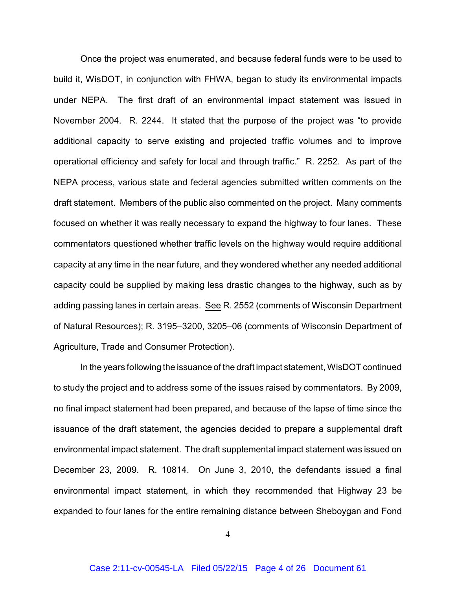Once the project was enumerated, and because federal funds were to be used to build it, WisDOT, in conjunction with FHWA, began to study its environmental impacts under NEPA. The first draft of an environmental impact statement was issued in November 2004. R. 2244. It stated that the purpose of the project was "to provide additional capacity to serve existing and projected traffic volumes and to improve operational efficiency and safety for local and through traffic." R. 2252. As part of the NEPA process, various state and federal agencies submitted written comments on the draft statement. Members of the public also commented on the project. Many comments focused on whether it was really necessary to expand the highway to four lanes. These commentators questioned whether traffic levels on the highway would require additional capacity at any time in the near future, and they wondered whether any needed additional capacity could be supplied by making less drastic changes to the highway, such as by adding passing lanes in certain areas. See R. 2552 (comments of Wisconsin Department of Natural Resources); R. 3195–3200, 3205–06 (comments of Wisconsin Department of Agriculture, Trade and Consumer Protection).

In the years following the issuance of the draft impact statement, WisDOT continued to study the project and to address some of the issues raised by commentators. By 2009, no final impact statement had been prepared, and because of the lapse of time since the issuance of the draft statement, the agencies decided to prepare a supplemental draft environmental impact statement. The draft supplemental impact statement was issued on December 23, 2009. R. 10814. On June 3, 2010, the defendants issued a final environmental impact statement, in which they recommended that Highway 23 be expanded to four lanes for the entire remaining distance between Sheboygan and Fond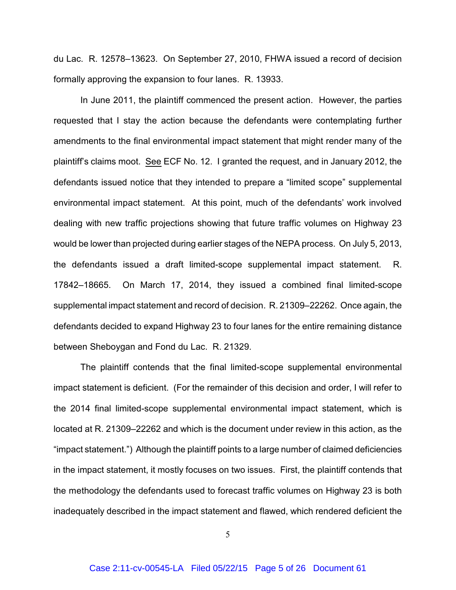du Lac. R. 12578–13623. On September 27, 2010, FHWA issued a record of decision formally approving the expansion to four lanes. R. 13933.

In June 2011, the plaintiff commenced the present action. However, the parties requested that I stay the action because the defendants were contemplating further amendments to the final environmental impact statement that might render many of the plaintiff's claims moot. See ECF No. 12. I granted the request, and in January 2012, the defendants issued notice that they intended to prepare a "limited scope" supplemental environmental impact statement. At this point, much of the defendants' work involved dealing with new traffic projections showing that future traffic volumes on Highway 23 would be lower than projected during earlier stages of the NEPA process. On July 5, 2013, the defendants issued a draft limited-scope supplemental impact statement. R. 17842–18665. On March 17, 2014, they issued a combined final limited-scope supplemental impact statement and record of decision. R. 21309–22262. Once again, the defendants decided to expand Highway 23 to four lanes for the entire remaining distance between Sheboygan and Fond du Lac. R. 21329.

The plaintiff contends that the final limited-scope supplemental environmental impact statement is deficient. (For the remainder of this decision and order, I will refer to the 2014 final limited-scope supplemental environmental impact statement, which is located at R. 21309–22262 and which is the document under review in this action, as the "impact statement.") Although the plaintiff points to a large number of claimed deficiencies in the impact statement, it mostly focuses on two issues. First, the plaintiff contends that the methodology the defendants used to forecast traffic volumes on Highway 23 is both inadequately described in the impact statement and flawed, which rendered deficient the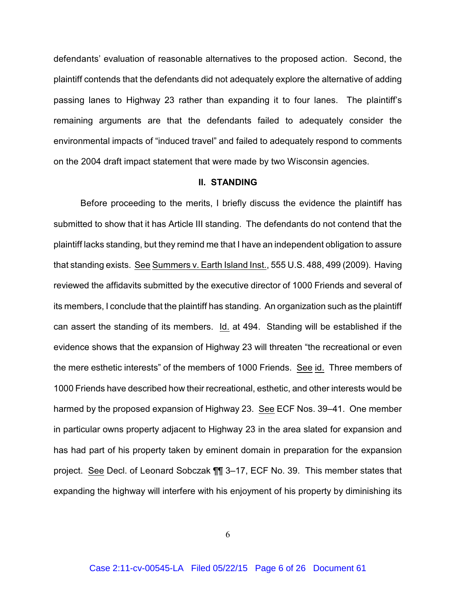defendants' evaluation of reasonable alternatives to the proposed action. Second, the plaintiff contends that the defendants did not adequately explore the alternative of adding passing lanes to Highway 23 rather than expanding it to four lanes. The plaintiff's remaining arguments are that the defendants failed to adequately consider the environmental impacts of "induced travel" and failed to adequately respond to comments on the 2004 draft impact statement that were made by two Wisconsin agencies.

#### **II. STANDING**

Before proceeding to the merits, I briefly discuss the evidence the plaintiff has submitted to show that it has Article III standing. The defendants do not contend that the plaintiff lacks standing, but they remind me that I have an independent obligation to assure that standing exists. See Summers v. Earth Island Inst., 555 U.S. 488, 499 (2009). Having reviewed the affidavits submitted by the executive director of 1000 Friends and several of its members, I conclude that the plaintiff has standing. An organization such as the plaintiff can assert the standing of its members. Id. at 494. Standing will be established if the evidence shows that the expansion of Highway 23 will threaten "the recreational or even the mere esthetic interests" of the members of 1000 Friends. See id. Three members of 1000 Friends have described how their recreational, esthetic, and other interests would be harmed by the proposed expansion of Highway 23. See ECF Nos. 39–41. One member in particular owns property adjacent to Highway 23 in the area slated for expansion and has had part of his property taken by eminent domain in preparation for the expansion project. See Decl. of Leonard Sobczak ¶¶ 3–17, ECF No. 39. This member states that expanding the highway will interfere with his enjoyment of his property by diminishing its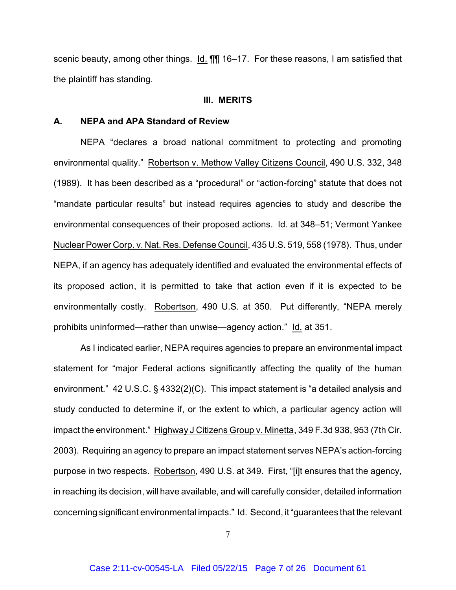scenic beauty, among other things. Id. ¶¶ 16–17. For these reasons, I am satisfied that the plaintiff has standing.

#### **III. MERITS**

#### **A. NEPA and APA Standard of Review**

NEPA "declares a broad national commitment to protecting and promoting environmental quality." Robertson v. Methow Valley Citizens Council, 490 U.S. 332, 348 (1989). It has been described as a "procedural" or "action-forcing" statute that does not "mandate particular results" but instead requires agencies to study and describe the environmental consequences of their proposed actions. Id. at 348–51; Vermont Yankee Nuclear Power Corp. v. Nat. Res. Defense Council, 435 U.S. 519, 558 (1978). Thus, under NEPA, if an agency has adequately identified and evaluated the environmental effects of its proposed action, it is permitted to take that action even if it is expected to be environmentally costly. Robertson, 490 U.S. at 350. Put differently, "NEPA merely prohibits uninformed—rather than unwise—agency action." Id. at 351.

As I indicated earlier, NEPA requires agencies to prepare an environmental impact statement for "major Federal actions significantly affecting the quality of the human environment." 42 U.S.C. § 4332(2)(C). This impact statement is "a detailed analysis and study conducted to determine if, or the extent to which, a particular agency action will impact the environment." Highway J Citizens Group v. Minetta, 349 F.3d 938, 953 (7th Cir. 2003). Requiring an agency to prepare an impact statement serves NEPA's action-forcing purpose in two respects. Robertson, 490 U.S. at 349. First, "[i]t ensures that the agency, in reaching its decision, will have available, and will carefully consider, detailed information concerning significant environmental impacts." Id. Second, it "guarantees that the relevant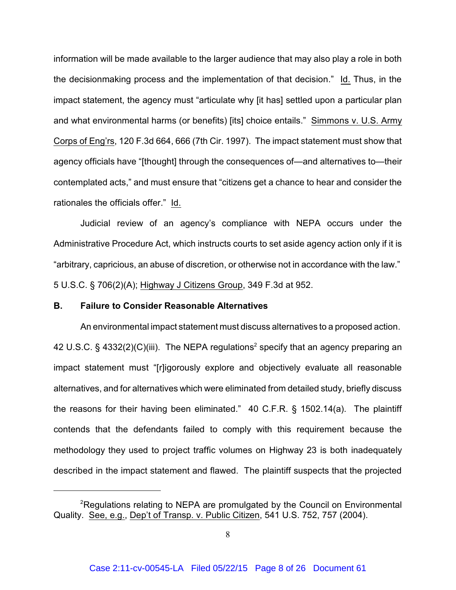information will be made available to the larger audience that may also play a role in both the decisionmaking process and the implementation of that decision." Id. Thus, in the impact statement, the agency must "articulate why [it has] settled upon a particular plan and what environmental harms (or benefits) [its] choice entails." Simmons v. U.S. Army Corps of Eng'rs, 120 F.3d 664, 666 (7th Cir. 1997). The impact statement must show that agency officials have "[thought] through the consequences of—and alternatives to—their contemplated acts," and must ensure that "citizens get a chance to hear and consider the rationales the officials offer." Id.

Judicial review of an agency's compliance with NEPA occurs under the Administrative Procedure Act, which instructs courts to set aside agency action only if it is "arbitrary, capricious, an abuse of discretion, or otherwise not in accordance with the law." 5 U.S.C. § 706(2)(A); Highway J Citizens Group, 349 F.3d at 952.

#### **B. Failure to Consider Reasonable Alternatives**

An environmental impact statement must discuss alternatives to a proposed action. 42 U.S.C. § 4332(2)(C)(iii). The NEPA regulations<sup>2</sup> specify that an agency preparing an impact statement must "[r]igorously explore and objectively evaluate all reasonable alternatives, and for alternatives which were eliminated from detailed study, briefly discuss the reasons for their having been eliminated." 40 C.F.R. § 1502.14(a). The plaintiff contends that the defendants failed to comply with this requirement because the methodology they used to project traffic volumes on Highway 23 is both inadequately described in the impact statement and flawed. The plaintiff suspects that the projected

 $P$ Regulations relating to NEPA are promulgated by the Council on Environmental Quality. See, e.g., Dep't of Transp. v. Public Citizen, 541 U.S. 752, 757 (2004).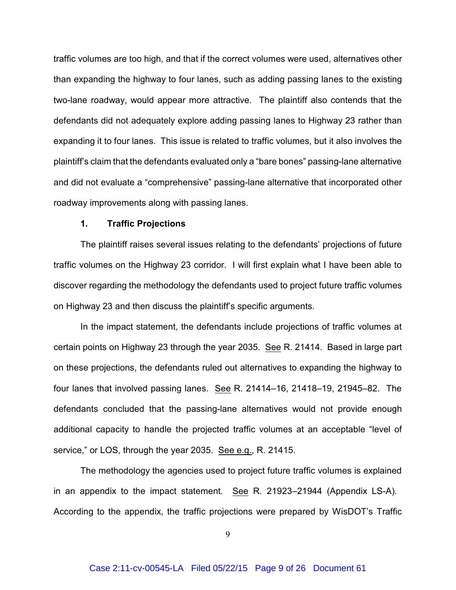traffic volumes are too high, and that if the correct volumes were used, alternatives other than expanding the highway to four lanes, such as adding passing lanes to the existing two-lane roadway, would appear more attractive. The plaintiff also contends that the defendants did not adequately explore adding passing lanes to Highway 23 rather than expanding it to four lanes. This issue is related to traffic volumes, but it also involves the plaintiff's claim that the defendants evaluated only a "bare bones" passing-lane alternative and did not evaluate a "comprehensive" passing-lane alternative that incorporated other roadway improvements along with passing lanes.

#### **1. Traffic Projections**

The plaintiff raises several issues relating to the defendants' projections of future traffic volumes on the Highway 23 corridor. I will first explain what I have been able to discover regarding the methodology the defendants used to project future traffic volumes on Highway 23 and then discuss the plaintiff's specific arguments.

In the impact statement, the defendants include projections of traffic volumes at certain points on Highway 23 through the year 2035. See R. 21414. Based in large part on these projections, the defendants ruled out alternatives to expanding the highway to four lanes that involved passing lanes. See R. 21414–16, 21418–19, 21945–82. The defendants concluded that the passing-lane alternatives would not provide enough additional capacity to handle the projected traffic volumes at an acceptable "level of service," or LOS, through the year 2035. See e.g., R. 21415.

The methodology the agencies used to project future traffic volumes is explained in an appendix to the impact statement. See R. 21923–21944 (Appendix LS-A). According to the appendix, the traffic projections were prepared by WisDOT's Traffic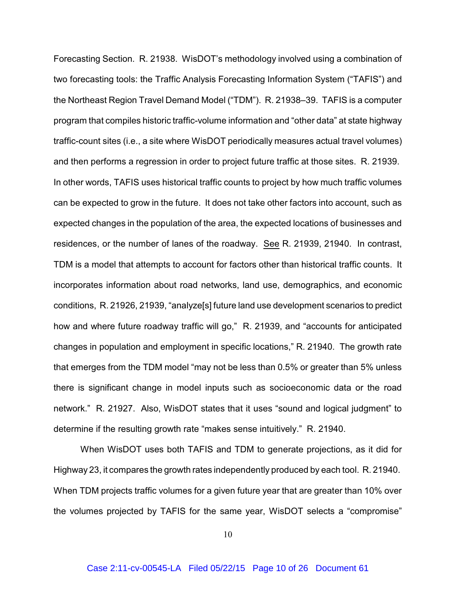Forecasting Section. R. 21938. WisDOT's methodology involved using a combination of two forecasting tools: the Traffic Analysis Forecasting Information System ("TAFIS") and the Northeast Region Travel Demand Model ("TDM"). R. 21938–39. TAFIS is a computer program that compiles historic traffic-volume information and "other data" at state highway traffic-count sites (i.e., a site where WisDOT periodically measures actual travel volumes) and then performs a regression in order to project future traffic at those sites. R. 21939. In other words, TAFIS uses historical traffic counts to project by how much traffic volumes can be expected to grow in the future. It does not take other factors into account, such as expected changes in the population of the area, the expected locations of businesses and residences, or the number of lanes of the roadway. See R. 21939, 21940. In contrast, TDM is a model that attempts to account for factors other than historical traffic counts. It incorporates information about road networks, land use, demographics, and economic conditions, R. 21926, 21939, "analyze[s] future land use development scenarios to predict how and where future roadway traffic will go," R. 21939, and "accounts for anticipated changes in population and employment in specific locations," R. 21940. The growth rate that emerges from the TDM model "may not be less than 0.5% or greater than 5% unless there is significant change in model inputs such as socioeconomic data or the road network." R. 21927. Also, WisDOT states that it uses "sound and logical judgment" to determine if the resulting growth rate "makes sense intuitively." R. 21940.

When WisDOT uses both TAFIS and TDM to generate projections, as it did for Highway 23, it compares the growth rates independently produced by each tool. R. 21940. When TDM projects traffic volumes for a given future year that are greater than 10% over the volumes projected by TAFIS for the same year, WisDOT selects a "compromise"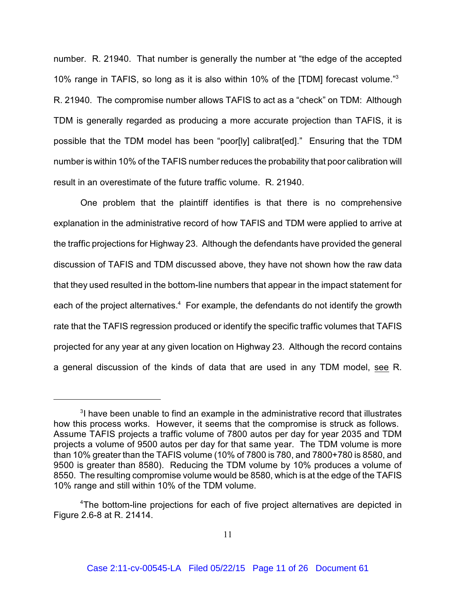number. R. 21940. That number is generally the number at "the edge of the accepted 10% range in TAFIS, so long as it is also within 10% of the [TDM] forecast volume." 3 R. 21940. The compromise number allows TAFIS to act as a "check" on TDM: Although TDM is generally regarded as producing a more accurate projection than TAFIS, it is possible that the TDM model has been "poor[ly] calibrat[ed]." Ensuring that the TDM number is within 10% of the TAFIS number reduces the probability that poor calibration will result in an overestimate of the future traffic volume. R. 21940.

One problem that the plaintiff identifies is that there is no comprehensive explanation in the administrative record of how TAFIS and TDM were applied to arrive at the traffic projections for Highway 23. Although the defendants have provided the general discussion of TAFIS and TDM discussed above, they have not shown how the raw data that they used resulted in the bottom-line numbers that appear in the impact statement for each of the project alternatives.<sup>4</sup> For example, the defendants do not identify the growth rate that the TAFIS regression produced or identify the specific traffic volumes that TAFIS projected for any year at any given location on Highway 23. Although the record contains a general discussion of the kinds of data that are used in any TDM model, see R.

 $3$ I have been unable to find an example in the administrative record that illustrates how this process works. However, it seems that the compromise is struck as follows. Assume TAFIS projects a traffic volume of 7800 autos per day for year 2035 and TDM projects a volume of 9500 autos per day for that same year. The TDM volume is more than 10% greater than the TAFIS volume (10% of 7800 is 780, and 7800+780 is 8580, and 9500 is greater than 8580). Reducing the TDM volume by 10% produces a volume of 8550. The resulting compromise volume would be 8580, which is at the edge of the TAFIS 10% range and still within 10% of the TDM volume.

<sup>&</sup>lt;sup>4</sup>The bottom-line projections for each of five project alternatives are depicted in Figure 2.6-8 at R. 21414.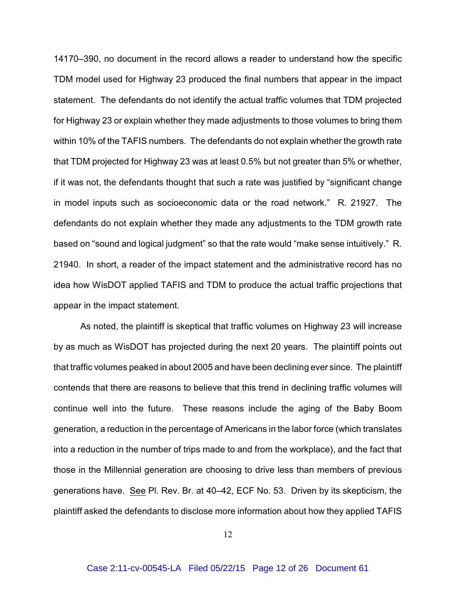14170–390, no document in the record allows a reader to understand how the specific TDM model used for Highway 23 produced the final numbers that appear in the impact statement. The defendants do not identify the actual traffic volumes that TDM projected for Highway 23 or explain whether they made adjustments to those volumes to bring them within 10% of the TAFIS numbers. The defendants do not explain whether the growth rate that TDM projected for Highway 23 was at least 0.5% but not greater than 5% or whether, if it was not, the defendants thought that such a rate was justified by "significant change in model inputs such as socioeconomic data or the road network." R. 21927. The defendants do not explain whether they made any adjustments to the TDM growth rate based on "sound and logical judgment" so that the rate would "make sense intuitively." R. 21940. In short, a reader of the impact statement and the administrative record has no idea how WisDOT applied TAFIS and TDM to produce the actual traffic projections that appear in the impact statement.

As noted, the plaintiff is skeptical that traffic volumes on Highway 23 will increase by as much as WisDOT has projected during the next 20 years. The plaintiff points out that traffic volumes peaked in about 2005 and have been declining ever since. The plaintiff contends that there are reasons to believe that this trend in declining traffic volumes will continue well into the future. These reasons include the aging of the Baby Boom generation, a reduction in the percentage of Americans in the labor force (which translates into a reduction in the number of trips made to and from the workplace), and the fact that those in the Millennial generation are choosing to drive less than members of previous generations have. See Pl. Rev. Br. at 40–42, ECF No. 53. Driven by its skepticism, the plaintiff asked the defendants to disclose more information about how they applied TAFIS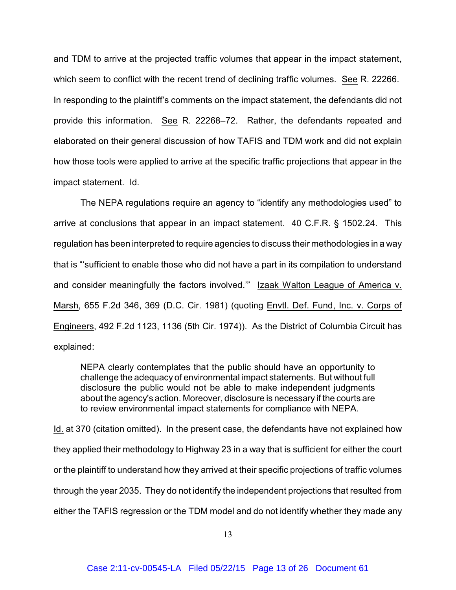and TDM to arrive at the projected traffic volumes that appear in the impact statement, which seem to conflict with the recent trend of declining traffic volumes. See R. 22266. In responding to the plaintiff's comments on the impact statement, the defendants did not provide this information. See R. 22268–72. Rather, the defendants repeated and elaborated on their general discussion of how TAFIS and TDM work and did not explain how those tools were applied to arrive at the specific traffic projections that appear in the impact statement. Id.

The NEPA regulations require an agency to "identify any methodologies used" to arrive at conclusions that appear in an impact statement. 40 C.F.R. § 1502.24. This regulation has been interpreted to require agencies to discuss their methodologies in a way that is "'sufficient to enable those who did not have a part in its compilation to understand and consider meaningfully the factors involved.'" Izaak Walton League of America v. Marsh, 655 F.2d 346, 369 (D.C. Cir. 1981) (quoting Envtl. Def. Fund, Inc. v. Corps of Engineers, 492 F.2d 1123, 1136 (5th Cir. 1974)). As the District of Columbia Circuit has explained:

NEPA clearly contemplates that the public should have an opportunity to challenge the adequacy of environmental impact statements. But without full disclosure the public would not be able to make independent judgments about the agency's action. Moreover, disclosure is necessary if the courts are to review environmental impact statements for compliance with NEPA.

Id. at 370 (citation omitted). In the present case, the defendants have not explained how they applied their methodology to Highway 23 in a way that is sufficient for either the court or the plaintiff to understand how they arrived at their specific projections of traffic volumes through the year 2035. They do not identify the independent projections that resulted from either the TAFIS regression or the TDM model and do not identify whether they made any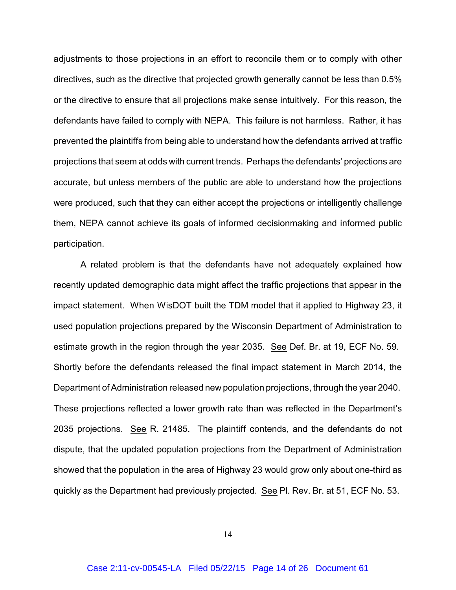adjustments to those projections in an effort to reconcile them or to comply with other directives, such as the directive that projected growth generally cannot be less than 0.5% or the directive to ensure that all projections make sense intuitively. For this reason, the defendants have failed to comply with NEPA. This failure is not harmless. Rather, it has prevented the plaintiffs from being able to understand how the defendants arrived at traffic projections that seem at odds with current trends. Perhaps the defendants' projections are accurate, but unless members of the public are able to understand how the projections were produced, such that they can either accept the projections or intelligently challenge them, NEPA cannot achieve its goals of informed decisionmaking and informed public participation.

A related problem is that the defendants have not adequately explained how recently updated demographic data might affect the traffic projections that appear in the impact statement. When WisDOT built the TDM model that it applied to Highway 23, it used population projections prepared by the Wisconsin Department of Administration to estimate growth in the region through the year 2035. See Def. Br. at 19, ECF No. 59. Shortly before the defendants released the final impact statement in March 2014, the Department of Administration released new population projections, through the year 2040. These projections reflected a lower growth rate than was reflected in the Department's 2035 projections. See R. 21485. The plaintiff contends, and the defendants do not dispute, that the updated population projections from the Department of Administration showed that the population in the area of Highway 23 would grow only about one-third as quickly as the Department had previously projected. See Pl. Rev. Br. at 51, ECF No. 53.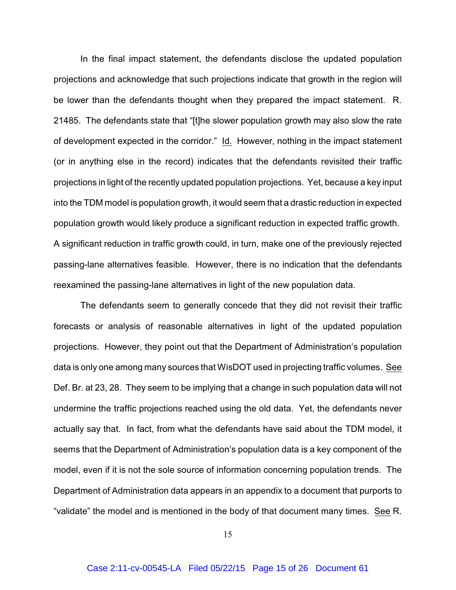In the final impact statement, the defendants disclose the updated population projections and acknowledge that such projections indicate that growth in the region will be lower than the defendants thought when they prepared the impact statement. R. 21485. The defendants state that "[t]he slower population growth may also slow the rate of development expected in the corridor." Id. However, nothing in the impact statement (or in anything else in the record) indicates that the defendants revisited their traffic projections in light of the recently updated population projections. Yet, because a key input into the TDM model is population growth, it would seem that a drastic reduction in expected population growth would likely produce a significant reduction in expected traffic growth. A significant reduction in traffic growth could, in turn, make one of the previously rejected passing-lane alternatives feasible. However, there is no indication that the defendants reexamined the passing-lane alternatives in light of the new population data.

The defendants seem to generally concede that they did not revisit their traffic forecasts or analysis of reasonable alternatives in light of the updated population projections. However, they point out that the Department of Administration's population data is only one among many sources that WisDOT used in projecting traffic volumes. See Def. Br. at 23, 28. They seem to be implying that a change in such population data will not undermine the traffic projections reached using the old data. Yet, the defendants never actually say that. In fact, from what the defendants have said about the TDM model, it seems that the Department of Administration's population data is a key component of the model, even if it is not the sole source of information concerning population trends. The Department of Administration data appears in an appendix to a document that purports to "validate" the model and is mentioned in the body of that document many times. See R.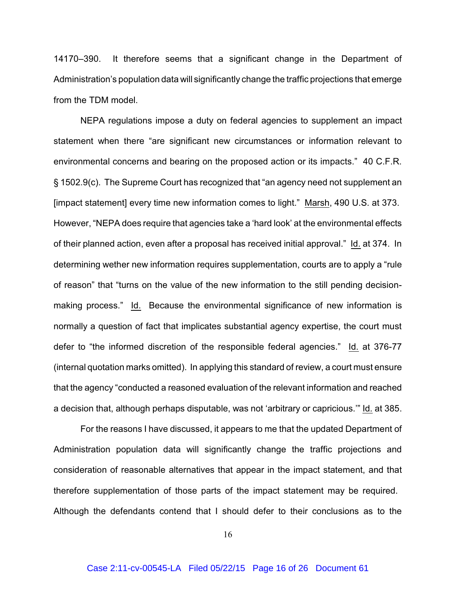14170–390. It therefore seems that a significant change in the Department of Administration's population data will significantly change the traffic projections that emerge from the TDM model.

NEPA regulations impose a duty on federal agencies to supplement an impact statement when there "are significant new circumstances or information relevant to environmental concerns and bearing on the proposed action or its impacts." 40 C.F.R. § 1502.9(c). The Supreme Court has recognized that "an agency need not supplement an [impact statement] every time new information comes to light." Marsh, 490 U.S. at 373. However, "NEPA does require that agencies take a 'hard look' at the environmental effects of their planned action, even after a proposal has received initial approval." Id. at 374. In determining wether new information requires supplementation, courts are to apply a "rule of reason" that "turns on the value of the new information to the still pending decisionmaking process." Id. Because the environmental significance of new information is normally a question of fact that implicates substantial agency expertise, the court must defer to "the informed discretion of the responsible federal agencies." Id. at 376-77 (internal quotation marks omitted). In applying this standard of review, a court must ensure that the agency "conducted a reasoned evaluation of the relevant information and reached a decision that, although perhaps disputable, was not 'arbitrary or capricious.'" Id. at 385.

For the reasons I have discussed, it appears to me that the updated Department of Administration population data will significantly change the traffic projections and consideration of reasonable alternatives that appear in the impact statement, and that therefore supplementation of those parts of the impact statement may be required. Although the defendants contend that I should defer to their conclusions as to the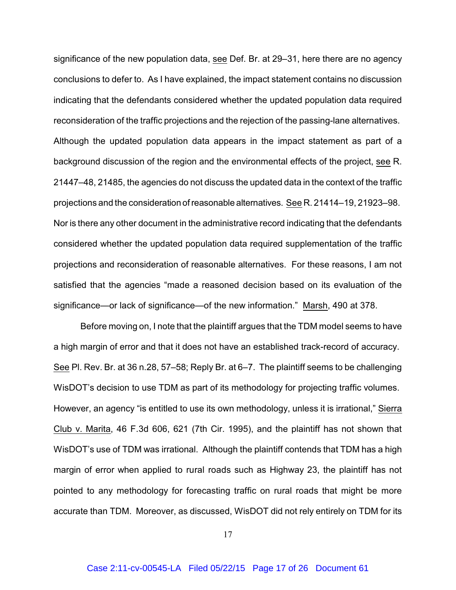significance of the new population data, see Def. Br. at 29–31, here there are no agency conclusions to defer to. As I have explained, the impact statement contains no discussion indicating that the defendants considered whether the updated population data required reconsideration of the traffic projections and the rejection of the passing-lane alternatives. Although the updated population data appears in the impact statement as part of a background discussion of the region and the environmental effects of the project, see R. 21447–48, 21485, the agencies do not discuss the updated data in the context of the traffic projections and the consideration of reasonable alternatives. See R. 21414–19, 21923–98. Nor is there any other document in the administrative record indicating that the defendants considered whether the updated population data required supplementation of the traffic projections and reconsideration of reasonable alternatives. For these reasons, I am not satisfied that the agencies "made a reasoned decision based on its evaluation of the significance—or lack of significance—of the new information." Marsh, 490 at 378.

Before moving on, I note that the plaintiff argues that the TDM model seems to have a high margin of error and that it does not have an established track-record of accuracy. See Pl. Rev. Br. at 36 n.28, 57–58; Reply Br. at 6–7. The plaintiff seems to be challenging WisDOT's decision to use TDM as part of its methodology for projecting traffic volumes. However, an agency "is entitled to use its own methodology, unless it is irrational," Sierra Club v. Marita, 46 F.3d 606, 621 (7th Cir. 1995), and the plaintiff has not shown that WisDOT's use of TDM was irrational. Although the plaintiff contends that TDM has a high margin of error when applied to rural roads such as Highway 23, the plaintiff has not pointed to any methodology for forecasting traffic on rural roads that might be more accurate than TDM. Moreover, as discussed, WisDOT did not rely entirely on TDM for its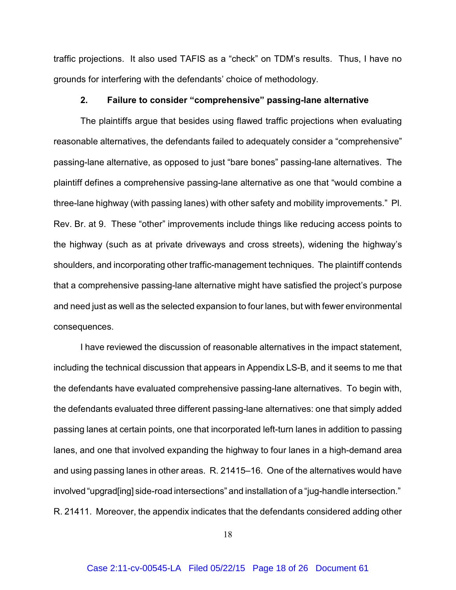traffic projections. It also used TAFIS as a "check" on TDM's results. Thus, I have no grounds for interfering with the defendants' choice of methodology.

#### **2. Failure to consider "comprehensive" passing-lane alternative**

The plaintiffs argue that besides using flawed traffic projections when evaluating reasonable alternatives, the defendants failed to adequately consider a "comprehensive" passing-lane alternative, as opposed to just "bare bones" passing-lane alternatives. The plaintiff defines a comprehensive passing-lane alternative as one that "would combine a three-lane highway (with passing lanes) with other safety and mobility improvements." Pl. Rev. Br. at 9. These "other" improvements include things like reducing access points to the highway (such as at private driveways and cross streets), widening the highway's shoulders, and incorporating other traffic-management techniques. The plaintiff contends that a comprehensive passing-lane alternative might have satisfied the project's purpose and need just as well as the selected expansion to four lanes, but with fewer environmental consequences.

I have reviewed the discussion of reasonable alternatives in the impact statement, including the technical discussion that appears in Appendix LS-B, and it seems to me that the defendants have evaluated comprehensive passing-lane alternatives. To begin with, the defendants evaluated three different passing-lane alternatives: one that simply added passing lanes at certain points, one that incorporated left-turn lanes in addition to passing lanes, and one that involved expanding the highway to four lanes in a high-demand area and using passing lanes in other areas. R. 21415–16. One of the alternatives would have involved "upgrad[ing] side-road intersections" and installation of a "jug-handle intersection." R. 21411. Moreover, the appendix indicates that the defendants considered adding other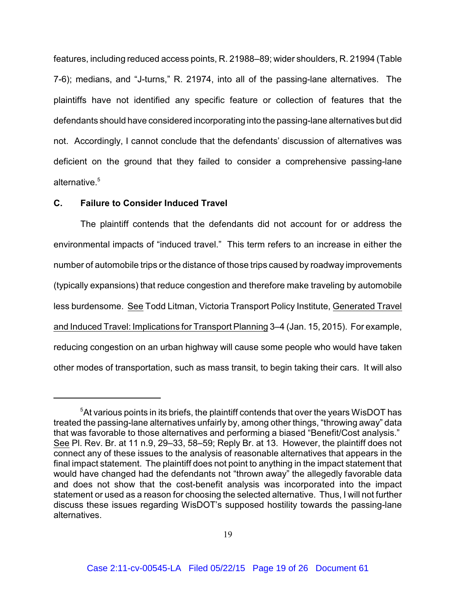features, including reduced access points, R. 21988–89; wider shoulders, R. 21994 (Table 7-6); medians, and "J-turns," R. 21974, into all of the passing-lane alternatives. The plaintiffs have not identified any specific feature or collection of features that the defendants should have considered incorporating into the passing-lane alternatives but did not. Accordingly, I cannot conclude that the defendants' discussion of alternatives was deficient on the ground that they failed to consider a comprehensive passing-lane alternative. 5

### **C. Failure to Consider Induced Travel**

The plaintiff contends that the defendants did not account for or address the environmental impacts of "induced travel." This term refers to an increase in either the number of automobile trips or the distance of those trips caused by roadway improvements (typically expansions) that reduce congestion and therefore make traveling by automobile less burdensome. See Todd Litman, Victoria Transport Policy Institute, Generated Travel and Induced Travel: Implications for Transport Planning 3–4 (Jan. 15, 2015). For example, reducing congestion on an urban highway will cause some people who would have taken other modes of transportation, such as mass transit, to begin taking their cars. It will also

<sup>&</sup>lt;sup>5</sup> At various points in its briefs, the plaintiff contends that over the years WisDOT has treated the passing-lane alternatives unfairly by, among other things, "throwing away" data that was favorable to those alternatives and performing a biased "Benefit/Cost analysis." See Pl. Rev. Br. at 11 n.9, 29–33, 58–59; Reply Br. at 13. However, the plaintiff does not connect any of these issues to the analysis of reasonable alternatives that appears in the final impact statement. The plaintiff does not point to anything in the impact statement that would have changed had the defendants not "thrown away" the allegedly favorable data and does not show that the cost-benefit analysis was incorporated into the impact statement or used as a reason for choosing the selected alternative. Thus, I will not further discuss these issues regarding WisDOT's supposed hostility towards the passing-lane alternatives.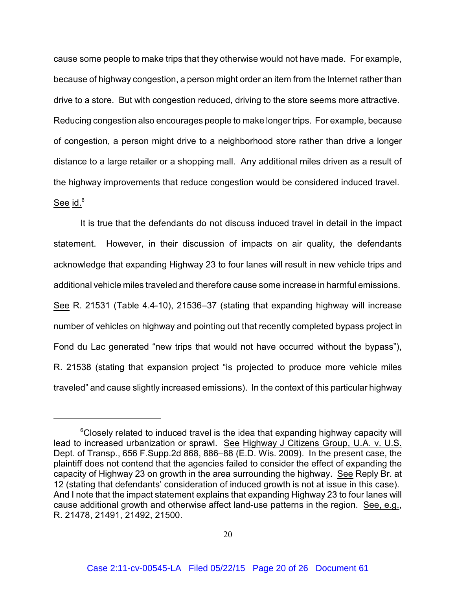cause some people to make trips that they otherwise would not have made. For example, because of highway congestion, a person might order an item from the Internet rather than drive to a store. But with congestion reduced, driving to the store seems more attractive. Reducing congestion also encourages people to make longer trips. For example, because of congestion, a person might drive to a neighborhood store rather than drive a longer distance to a large retailer or a shopping mall. Any additional miles driven as a result of the highway improvements that reduce congestion would be considered induced travel. See id.<sup>6</sup>

It is true that the defendants do not discuss induced travel in detail in the impact statement. However, in their discussion of impacts on air quality, the defendants acknowledge that expanding Highway 23 to four lanes will result in new vehicle trips and additional vehicle miles traveled and therefore cause some increase in harmful emissions. See R. 21531 (Table 4.4-10), 21536–37 (stating that expanding highway will increase number of vehicles on highway and pointing out that recently completed bypass project in Fond du Lac generated "new trips that would not have occurred without the bypass"), R. 21538 (stating that expansion project "is projected to produce more vehicle miles traveled" and cause slightly increased emissions). In the context of this particular highway

 $\mathrm{^6}$ Closely related to induced travel is the idea that expanding highway capacity will lead to increased urbanization or sprawl. See Highway J Citizens Group, U.A. v. U.S. Dept. of Transp., 656 F.Supp.2d 868, 886–88 (E.D. Wis. 2009). In the present case, the plaintiff does not contend that the agencies failed to consider the effect of expanding the capacity of Highway 23 on growth in the area surrounding the highway. See Reply Br. at 12 (stating that defendants' consideration of induced growth is not at issue in this case). And I note that the impact statement explains that expanding Highway 23 to four lanes will cause additional growth and otherwise affect land-use patterns in the region. See, e.g., R. 21478, 21491, 21492, 21500.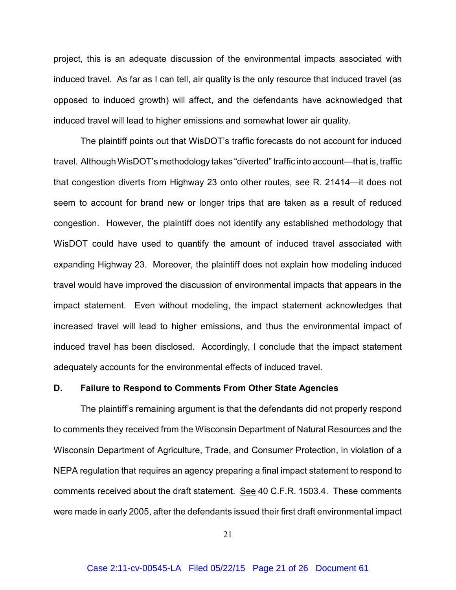project, this is an adequate discussion of the environmental impacts associated with induced travel. As far as I can tell, air quality is the only resource that induced travel (as opposed to induced growth) will affect, and the defendants have acknowledged that induced travel will lead to higher emissions and somewhat lower air quality.

The plaintiff points out that WisDOT's traffic forecasts do not account for induced travel. Although WisDOT's methodology takes "diverted" traffic into account—that is, traffic that congestion diverts from Highway 23 onto other routes, see R. 21414—it does not seem to account for brand new or longer trips that are taken as a result of reduced congestion. However, the plaintiff does not identify any established methodology that WisDOT could have used to quantify the amount of induced travel associated with expanding Highway 23. Moreover, the plaintiff does not explain how modeling induced travel would have improved the discussion of environmental impacts that appears in the impact statement. Even without modeling, the impact statement acknowledges that increased travel will lead to higher emissions, and thus the environmental impact of induced travel has been disclosed. Accordingly, I conclude that the impact statement adequately accounts for the environmental effects of induced travel.

#### **D. Failure to Respond to Comments From Other State Agencies**

The plaintiff's remaining argument is that the defendants did not properly respond to comments they received from the Wisconsin Department of Natural Resources and the Wisconsin Department of Agriculture, Trade, and Consumer Protection, in violation of a NEPA regulation that requires an agency preparing a final impact statement to respond to comments received about the draft statement. See 40 C.F.R. 1503.4. These comments were made in early 2005, after the defendants issued their first draft environmental impact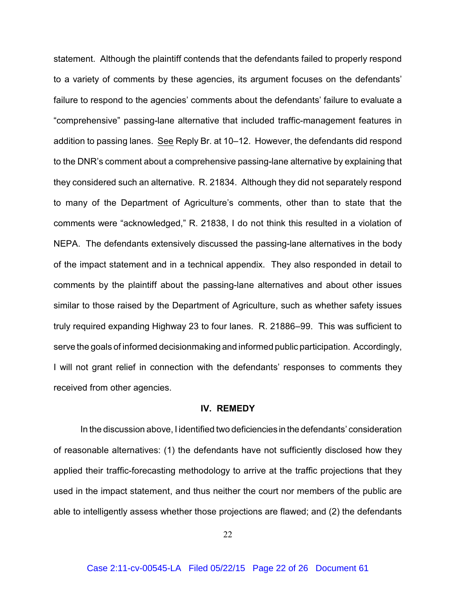statement. Although the plaintiff contends that the defendants failed to properly respond to a variety of comments by these agencies, its argument focuses on the defendants' failure to respond to the agencies' comments about the defendants' failure to evaluate a "comprehensive" passing-lane alternative that included traffic-management features in addition to passing lanes. See Reply Br. at 10–12. However, the defendants did respond to the DNR's comment about a comprehensive passing-lane alternative by explaining that they considered such an alternative. R. 21834. Although they did not separately respond to many of the Department of Agriculture's comments, other than to state that the comments were "acknowledged," R. 21838, I do not think this resulted in a violation of NEPA. The defendants extensively discussed the passing-lane alternatives in the body of the impact statement and in a technical appendix. They also responded in detail to comments by the plaintiff about the passing-lane alternatives and about other issues similar to those raised by the Department of Agriculture, such as whether safety issues truly required expanding Highway 23 to four lanes. R. 21886–99. This was sufficient to serve the goals of informed decisionmaking and informed public participation. Accordingly, I will not grant relief in connection with the defendants' responses to comments they received from other agencies.

#### **IV. REMEDY**

In the discussion above, I identified two deficiencies in the defendants' consideration of reasonable alternatives: (1) the defendants have not sufficiently disclosed how they applied their traffic-forecasting methodology to arrive at the traffic projections that they used in the impact statement, and thus neither the court nor members of the public are able to intelligently assess whether those projections are flawed; and (2) the defendants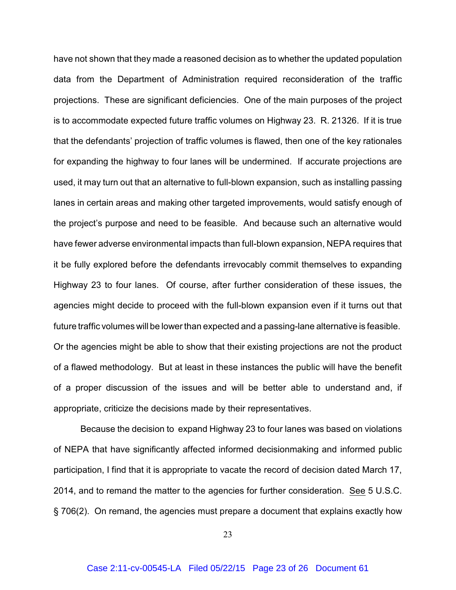have not shown that they made a reasoned decision as to whether the updated population data from the Department of Administration required reconsideration of the traffic projections. These are significant deficiencies. One of the main purposes of the project is to accommodate expected future traffic volumes on Highway 23. R. 21326. If it is true that the defendants' projection of traffic volumes is flawed, then one of the key rationales for expanding the highway to four lanes will be undermined. If accurate projections are used, it may turn out that an alternative to full-blown expansion, such as installing passing lanes in certain areas and making other targeted improvements, would satisfy enough of the project's purpose and need to be feasible. And because such an alternative would have fewer adverse environmental impacts than full-blown expansion, NEPA requires that it be fully explored before the defendants irrevocably commit themselves to expanding Highway 23 to four lanes. Of course, after further consideration of these issues, the agencies might decide to proceed with the full-blown expansion even if it turns out that future traffic volumes will be lower than expected and a passing-lane alternative is feasible. Or the agencies might be able to show that their existing projections are not the product of a flawed methodology. But at least in these instances the public will have the benefit of a proper discussion of the issues and will be better able to understand and, if appropriate, criticize the decisions made by their representatives.

Because the decision to expand Highway 23 to four lanes was based on violations of NEPA that have significantly affected informed decisionmaking and informed public participation, I find that it is appropriate to vacate the record of decision dated March 17, 2014, and to remand the matter to the agencies for further consideration. See 5 U.S.C. § 706(2). On remand, the agencies must prepare a document that explains exactly how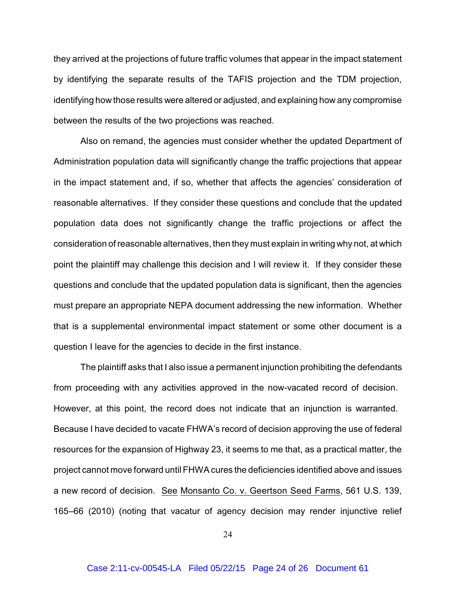they arrived at the projections of future traffic volumes that appear in the impact statement by identifying the separate results of the TAFIS projection and the TDM projection, identifying how those results were altered or adjusted, and explaining how any compromise between the results of the two projections was reached.

Also on remand, the agencies must consider whether the updated Department of Administration population data will significantly change the traffic projections that appear in the impact statement and, if so, whether that affects the agencies' consideration of reasonable alternatives. If they consider these questions and conclude that the updated population data does not significantly change the traffic projections or affect the consideration of reasonable alternatives, then they must explain in writing why not, at which point the plaintiff may challenge this decision and I will review it. If they consider these questions and conclude that the updated population data is significant, then the agencies must prepare an appropriate NEPA document addressing the new information. Whether that is a supplemental environmental impact statement or some other document is a question I leave for the agencies to decide in the first instance.

The plaintiff asks that I also issue a permanent injunction prohibiting the defendants from proceeding with any activities approved in the now-vacated record of decision. However, at this point, the record does not indicate that an injunction is warranted. Because I have decided to vacate FHWA's record of decision approving the use of federal resources for the expansion of Highway 23, it seems to me that, as a practical matter, the project cannot move forward until FHWA cures the deficiencies identified above and issues a new record of decision. See Monsanto Co. v. Geertson Seed Farms, 561 U.S. 139, 165–66 (2010) (noting that vacatur of agency decision may render injunctive relief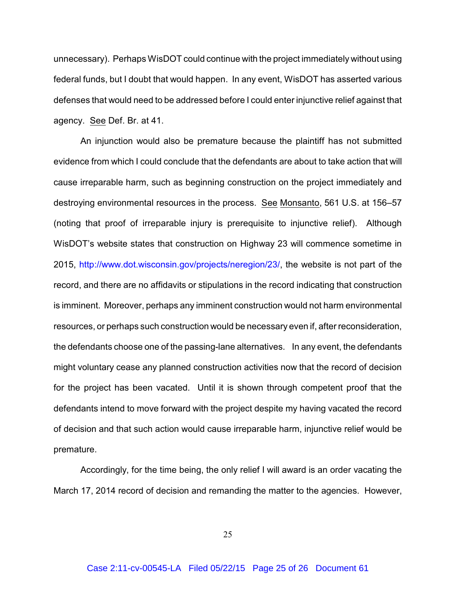unnecessary). Perhaps WisDOT could continue with the project immediately without using federal funds, but I doubt that would happen. In any event, WisDOT has asserted various defenses that would need to be addressed before I could enter injunctive relief against that agency. See Def. Br. at 41.

An injunction would also be premature because the plaintiff has not submitted evidence from which I could conclude that the defendants are about to take action that will cause irreparable harm, such as beginning construction on the project immediately and destroying environmental resources in the process. See Monsanto, 561 U.S. at 156–57 (noting that proof of irreparable injury is prerequisite to injunctive relief). Although WisDOT's website states that construction on Highway 23 will commence sometime in 2015, [http://www.dot.wisconsin.gov/projects/neregion/23/](http://www.dot.wisconsin.gov/projects/neregion/23/,), the website is not part of the record, and there are no affidavits or stipulations in the record indicating that construction is imminent. Moreover, perhaps any imminent construction would not harm environmental resources, or perhaps such construction would be necessary even if, after reconsideration, the defendants choose one of the passing-lane alternatives. In any event, the defendants might voluntary cease any planned construction activities now that the record of decision for the project has been vacated. Until it is shown through competent proof that the defendants intend to move forward with the project despite my having vacated the record of decision and that such action would cause irreparable harm, injunctive relief would be premature.

Accordingly, for the time being, the only relief I will award is an order vacating the March 17, 2014 record of decision and remanding the matter to the agencies. However,